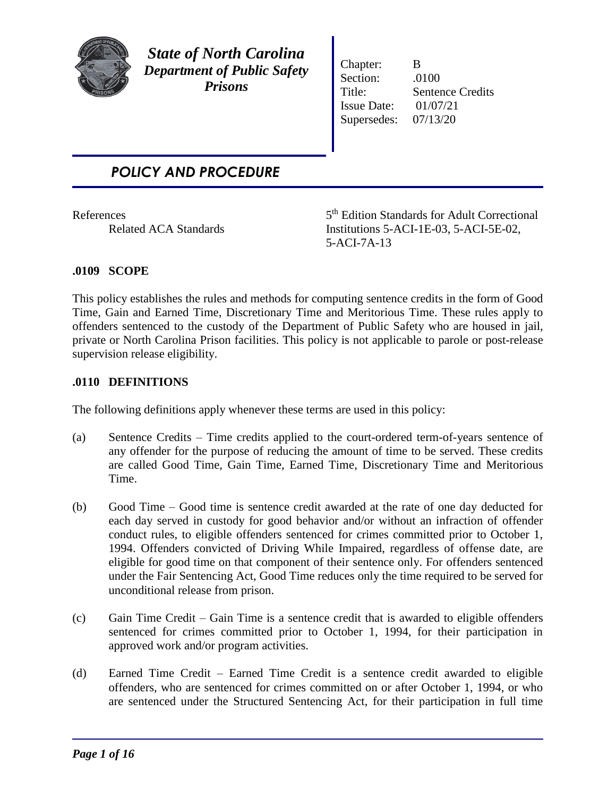

*State of North Carolina Department of Public Safety Prisons*

Chapter: B Section: .0100 Title: Sentence Credits Issue Date: 01/07/21 Supersedes: 07/13/20

# *POLICY AND PROCEDURE*

**References** 

5<sup>th</sup> Edition Standards for Adult Correctional Related ACA Standards Institutions 5-ACI-1E-03, 5-ACI-5E-02, 5-ACI-7A-13

## **.0109 SCOPE**

This policy establishes the rules and methods for computing sentence credits in the form of Good Time, Gain and Earned Time, Discretionary Time and Meritorious Time. These rules apply to offenders sentenced to the custody of the Department of Public Safety who are housed in jail, private or North Carolina Prison facilities. This policy is not applicable to parole or post-release supervision release eligibility.

### **.0110 DEFINITIONS**

The following definitions apply whenever these terms are used in this policy:

- (a) Sentence Credits Time credits applied to the court-ordered term-of-years sentence of any offender for the purpose of reducing the amount of time to be served. These credits are called Good Time, Gain Time, Earned Time, Discretionary Time and Meritorious Time.
- (b) Good Time Good time is sentence credit awarded at the rate of one day deducted for each day served in custody for good behavior and/or without an infraction of offender conduct rules, to eligible offenders sentenced for crimes committed prior to October 1, 1994. Offenders convicted of Driving While Impaired, regardless of offense date, are eligible for good time on that component of their sentence only. For offenders sentenced under the Fair Sentencing Act, Good Time reduces only the time required to be served for unconditional release from prison.
- (c) Gain Time Credit Gain Time is a sentence credit that is awarded to eligible offenders sentenced for crimes committed prior to October 1, 1994, for their participation in approved work and/or program activities.
- (d) Earned Time Credit Earned Time Credit is a sentence credit awarded to eligible offenders, who are sentenced for crimes committed on or after October 1, 1994, or who are sentenced under the Structured Sentencing Act, for their participation in full time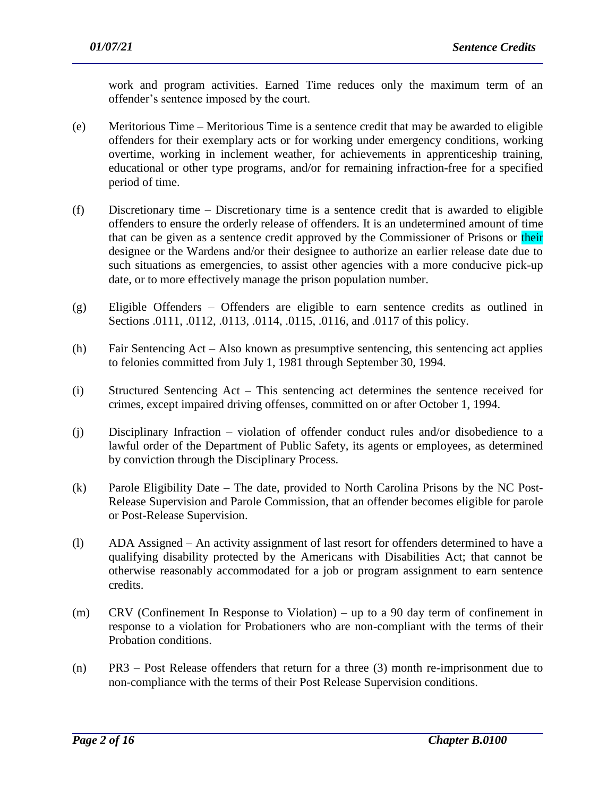work and program activities. Earned Time reduces only the maximum term of an offender's sentence imposed by the court.

- (e) Meritorious Time Meritorious Time is a sentence credit that may be awarded to eligible offenders for their exemplary acts or for working under emergency conditions, working overtime, working in inclement weather, for achievements in apprenticeship training, educational or other type programs, and/or for remaining infraction-free for a specified period of time.
- (f) Discretionary time Discretionary time is a sentence credit that is awarded to eligible offenders to ensure the orderly release of offenders. It is an undetermined amount of time that can be given as a sentence credit approved by the Commissioner of Prisons or their designee or the Wardens and/or their designee to authorize an earlier release date due to such situations as emergencies, to assist other agencies with a more conducive pick-up date, or to more effectively manage the prison population number.
- (g) Eligible Offenders Offenders are eligible to earn sentence credits as outlined in Sections .0111, .0112, .0113, .0114, .0115, .0116, and .0117 of this policy.
- (h) Fair Sentencing Act Also known as presumptive sentencing, this sentencing act applies to felonies committed from July 1, 1981 through September 30, 1994.
- (i) Structured Sentencing Act This sentencing act determines the sentence received for crimes, except impaired driving offenses, committed on or after October 1, 1994.
- (j) Disciplinary Infraction violation of offender conduct rules and/or disobedience to a lawful order of the Department of Public Safety, its agents or employees, as determined by conviction through the Disciplinary Process.
- (k) Parole Eligibility Date The date, provided to North Carolina Prisons by the NC Post-Release Supervision and Parole Commission, that an offender becomes eligible for parole or Post-Release Supervision.
- (l) ADA Assigned An activity assignment of last resort for offenders determined to have a qualifying disability protected by the Americans with Disabilities Act; that cannot be otherwise reasonably accommodated for a job or program assignment to earn sentence credits.
- (m) CRV (Confinement In Response to Violation) up to a 90 day term of confinement in response to a violation for Probationers who are non-compliant with the terms of their Probation conditions.
- (n) PR3 Post Release offenders that return for a three (3) month re-imprisonment due to non-compliance with the terms of their Post Release Supervision conditions.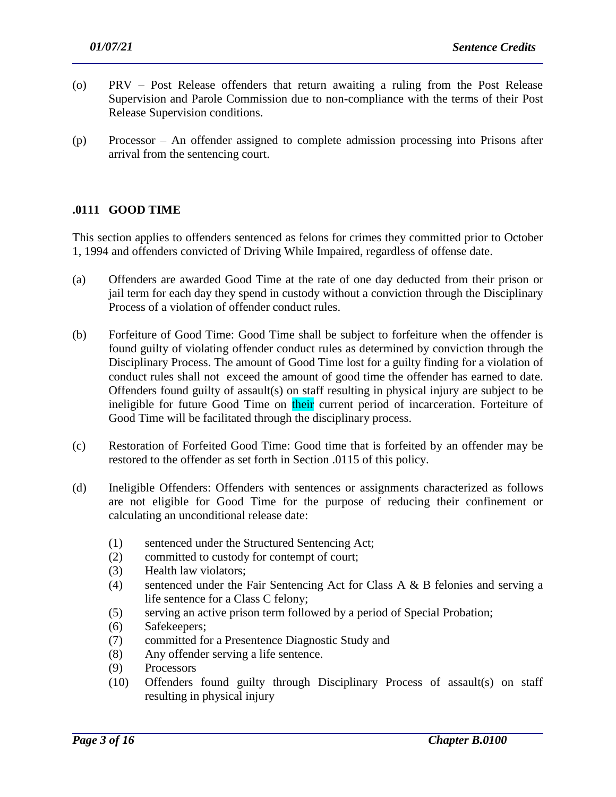- (o) PRV Post Release offenders that return awaiting a ruling from the Post Release Supervision and Parole Commission due to non-compliance with the terms of their Post Release Supervision conditions.
- (p) Processor An offender assigned to complete admission processing into Prisons after arrival from the sentencing court.

## **.0111 GOOD TIME**

This section applies to offenders sentenced as felons for crimes they committed prior to October 1, 1994 and offenders convicted of Driving While Impaired, regardless of offense date.

- (a) Offenders are awarded Good Time at the rate of one day deducted from their prison or jail term for each day they spend in custody without a conviction through the Disciplinary Process of a violation of offender conduct rules.
- (b) Forfeiture of Good Time: Good Time shall be subject to forfeiture when the offender is found guilty of violating offender conduct rules as determined by conviction through the Disciplinary Process. The amount of Good Time lost for a guilty finding for a violation of conduct rules shall not exceed the amount of good time the offender has earned to date. Offenders found guilty of assault(s) on staff resulting in physical injury are subject to be ineligible for future Good Time on their current period of incarceration. Forteiture of Good Time will be facilitated through the disciplinary process.
- (c) Restoration of Forfeited Good Time: Good time that is forfeited by an offender may be restored to the offender as set forth in Section .0115 of this policy.
- (d) Ineligible Offenders: Offenders with sentences or assignments characterized as follows are not eligible for Good Time for the purpose of reducing their confinement or calculating an unconditional release date:
	- (1) sentenced under the Structured Sentencing Act;
	- (2) committed to custody for contempt of court;
	- (3) Health law violators;
	- (4) sentenced under the Fair Sentencing Act for Class A & B felonies and serving a life sentence for a Class C felony;
	- (5) serving an active prison term followed by a period of Special Probation;
	- (6) Safekeepers;
	- (7) committed for a Presentence Diagnostic Study and
	- (8) Any offender serving a life sentence.
	- (9) Processors
	- (10) Offenders found guilty through Disciplinary Process of assault(s) on staff resulting in physical injury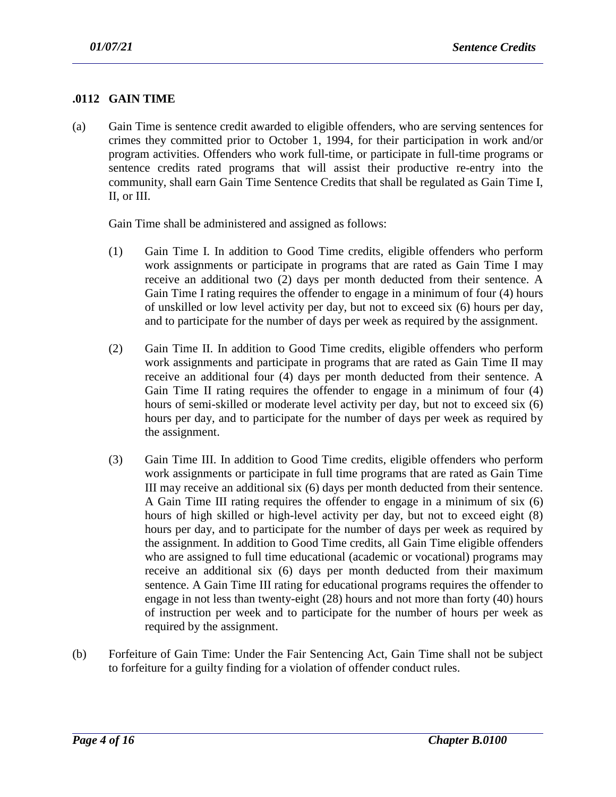## **.0112 GAIN TIME**

(a) Gain Time is sentence credit awarded to eligible offenders, who are serving sentences for crimes they committed prior to October 1, 1994, for their participation in work and/or program activities. Offenders who work full-time, or participate in full-time programs or sentence credits rated programs that will assist their productive re-entry into the community, shall earn Gain Time Sentence Credits that shall be regulated as Gain Time I, II, or III.

Gain Time shall be administered and assigned as follows:

- (1) Gain Time I. In addition to Good Time credits, eligible offenders who perform work assignments or participate in programs that are rated as Gain Time I may receive an additional two (2) days per month deducted from their sentence. A Gain Time I rating requires the offender to engage in a minimum of four (4) hours of unskilled or low level activity per day, but not to exceed six (6) hours per day, and to participate for the number of days per week as required by the assignment.
- (2) Gain Time II. In addition to Good Time credits, eligible offenders who perform work assignments and participate in programs that are rated as Gain Time II may receive an additional four (4) days per month deducted from their sentence. A Gain Time II rating requires the offender to engage in a minimum of four (4) hours of semi-skilled or moderate level activity per day, but not to exceed six (6) hours per day, and to participate for the number of days per week as required by the assignment.
- (3) Gain Time III. In addition to Good Time credits, eligible offenders who perform work assignments or participate in full time programs that are rated as Gain Time III may receive an additional six (6) days per month deducted from their sentence. A Gain Time III rating requires the offender to engage in a minimum of six (6) hours of high skilled or high-level activity per day, but not to exceed eight (8) hours per day, and to participate for the number of days per week as required by the assignment. In addition to Good Time credits, all Gain Time eligible offenders who are assigned to full time educational (academic or vocational) programs may receive an additional six (6) days per month deducted from their maximum sentence. A Gain Time III rating for educational programs requires the offender to engage in not less than twenty-eight (28) hours and not more than forty (40) hours of instruction per week and to participate for the number of hours per week as required by the assignment.
- (b) Forfeiture of Gain Time: Under the Fair Sentencing Act, Gain Time shall not be subject to forfeiture for a guilty finding for a violation of offender conduct rules.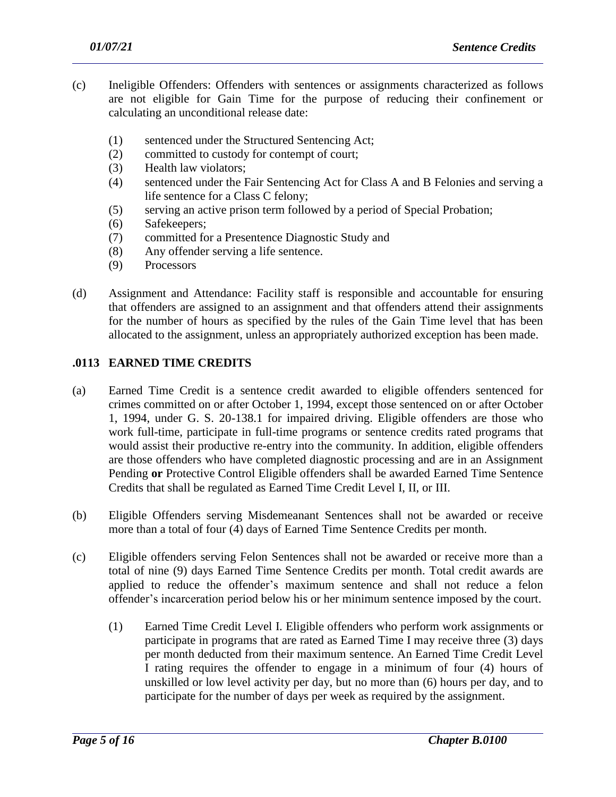- (c) Ineligible Offenders: Offenders with sentences or assignments characterized as follows are not eligible for Gain Time for the purpose of reducing their confinement or calculating an unconditional release date:
	- (1) sentenced under the Structured Sentencing Act;
	- (2) committed to custody for contempt of court;
	- (3) Health law violators;
	- (4) sentenced under the Fair Sentencing Act for Class A and B Felonies and serving a life sentence for a Class C felony;
	- (5) serving an active prison term followed by a period of Special Probation;
	- (6) Safekeepers;
	- (7) committed for a Presentence Diagnostic Study and
	- (8) Any offender serving a life sentence.
	- (9) Processors
- (d) Assignment and Attendance: Facility staff is responsible and accountable for ensuring that offenders are assigned to an assignment and that offenders attend their assignments for the number of hours as specified by the rules of the Gain Time level that has been allocated to the assignment, unless an appropriately authorized exception has been made.

#### **.0113 EARNED TIME CREDITS**

- (a) Earned Time Credit is a sentence credit awarded to eligible offenders sentenced for crimes committed on or after October 1, 1994, except those sentenced on or after October 1, 1994, under G. S. 20-138.1 for impaired driving. Eligible offenders are those who work full-time, participate in full-time programs or sentence credits rated programs that would assist their productive re-entry into the community. In addition, eligible offenders are those offenders who have completed diagnostic processing and are in an Assignment Pending **or** Protective Control Eligible offenders shall be awarded Earned Time Sentence Credits that shall be regulated as Earned Time Credit Level I, II, or III.
- (b) Eligible Offenders serving Misdemeanant Sentences shall not be awarded or receive more than a total of four (4) days of Earned Time Sentence Credits per month.
- (c) Eligible offenders serving Felon Sentences shall not be awarded or receive more than a total of nine (9) days Earned Time Sentence Credits per month. Total credit awards are applied to reduce the offender's maximum sentence and shall not reduce a felon offender's incarceration period below his or her minimum sentence imposed by the court.
	- (1) Earned Time Credit Level I. Eligible offenders who perform work assignments or participate in programs that are rated as Earned Time I may receive three (3) days per month deducted from their maximum sentence. An Earned Time Credit Level I rating requires the offender to engage in a minimum of four (4) hours of unskilled or low level activity per day, but no more than (6) hours per day, and to participate for the number of days per week as required by the assignment.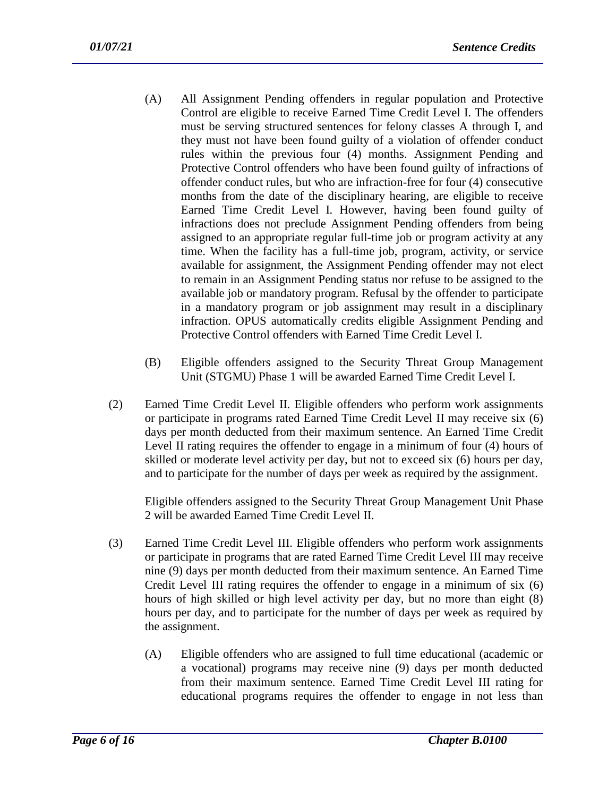- (A) All Assignment Pending offenders in regular population and Protective Control are eligible to receive Earned Time Credit Level I. The offenders must be serving structured sentences for felony classes A through I, and they must not have been found guilty of a violation of offender conduct rules within the previous four (4) months. Assignment Pending and Protective Control offenders who have been found guilty of infractions of offender conduct rules, but who are infraction-free for four (4) consecutive months from the date of the disciplinary hearing, are eligible to receive Earned Time Credit Level I. However, having been found guilty of infractions does not preclude Assignment Pending offenders from being assigned to an appropriate regular full-time job or program activity at any time. When the facility has a full-time job, program, activity, or service available for assignment, the Assignment Pending offender may not elect to remain in an Assignment Pending status nor refuse to be assigned to the available job or mandatory program. Refusal by the offender to participate in a mandatory program or job assignment may result in a disciplinary infraction. OPUS automatically credits eligible Assignment Pending and Protective Control offenders with Earned Time Credit Level I.
- (B) Eligible offenders assigned to the Security Threat Group Management Unit (STGMU) Phase 1 will be awarded Earned Time Credit Level I.
- (2) Earned Time Credit Level II. Eligible offenders who perform work assignments or participate in programs rated Earned Time Credit Level II may receive six (6) days per month deducted from their maximum sentence. An Earned Time Credit Level II rating requires the offender to engage in a minimum of four (4) hours of skilled or moderate level activity per day, but not to exceed six (6) hours per day, and to participate for the number of days per week as required by the assignment.

Eligible offenders assigned to the Security Threat Group Management Unit Phase 2 will be awarded Earned Time Credit Level II.

- (3) Earned Time Credit Level III. Eligible offenders who perform work assignments or participate in programs that are rated Earned Time Credit Level III may receive nine (9) days per month deducted from their maximum sentence. An Earned Time Credit Level III rating requires the offender to engage in a minimum of six (6) hours of high skilled or high level activity per day, but no more than eight (8) hours per day, and to participate for the number of days per week as required by the assignment.
	- (A) Eligible offenders who are assigned to full time educational (academic or a vocational) programs may receive nine (9) days per month deducted from their maximum sentence. Earned Time Credit Level III rating for educational programs requires the offender to engage in not less than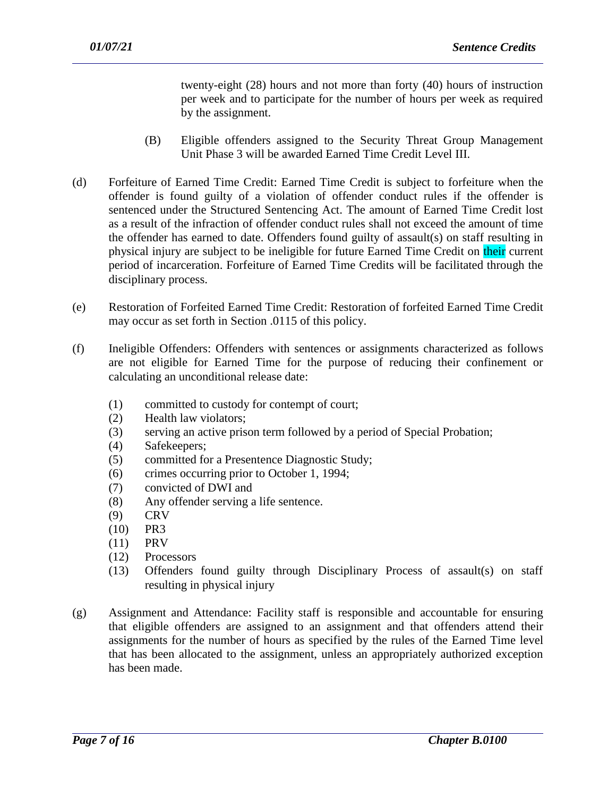twenty-eight (28) hours and not more than forty (40) hours of instruction per week and to participate for the number of hours per week as required by the assignment.

- (B) Eligible offenders assigned to the Security Threat Group Management Unit Phase 3 will be awarded Earned Time Credit Level III.
- (d) Forfeiture of Earned Time Credit: Earned Time Credit is subject to forfeiture when the offender is found guilty of a violation of offender conduct rules if the offender is sentenced under the Structured Sentencing Act. The amount of Earned Time Credit lost as a result of the infraction of offender conduct rules shall not exceed the amount of time the offender has earned to date. Offenders found guilty of assault(s) on staff resulting in physical injury are subject to be ineligible for future Earned Time Credit on their current period of incarceration. Forfeiture of Earned Time Credits will be facilitated through the disciplinary process.
- (e) Restoration of Forfeited Earned Time Credit: Restoration of forfeited Earned Time Credit may occur as set forth in Section .0115 of this policy.
- (f) Ineligible Offenders: Offenders with sentences or assignments characterized as follows are not eligible for Earned Time for the purpose of reducing their confinement or calculating an unconditional release date:
	- (1) committed to custody for contempt of court;
	- (2) Health law violators;
	- (3) serving an active prison term followed by a period of Special Probation;
	- (4) Safekeepers;
	- (5) committed for a Presentence Diagnostic Study;
	- (6) crimes occurring prior to October 1, 1994;
	- (7) convicted of DWI and
	- (8) Any offender serving a life sentence.
	- (9) CRV
	- (10) PR3
	- (11) PRV
	- (12) Processors
	- (13) Offenders found guilty through Disciplinary Process of assault(s) on staff resulting in physical injury
- (g) Assignment and Attendance: Facility staff is responsible and accountable for ensuring that eligible offenders are assigned to an assignment and that offenders attend their assignments for the number of hours as specified by the rules of the Earned Time level that has been allocated to the assignment, unless an appropriately authorized exception has been made.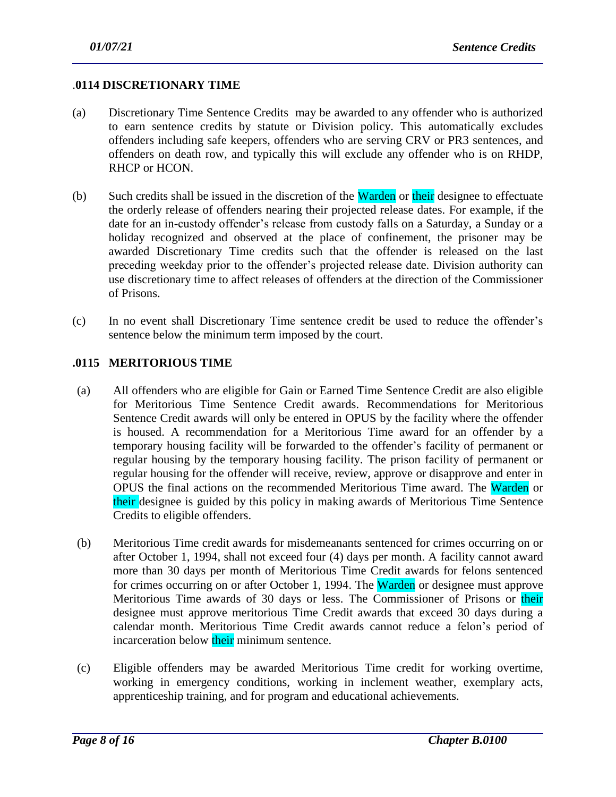#### .**0114 DISCRETIONARY TIME**

- (a) Discretionary Time Sentence Credits may be awarded to any offender who is authorized to earn sentence credits by statute or Division policy. This automatically excludes offenders including safe keepers, offenders who are serving CRV or PR3 sentences, and offenders on death row, and typically this will exclude any offender who is on RHDP, RHCP or HCON.
- (b) Such credits shall be issued in the discretion of the **Warden** or their designee to effectuate the orderly release of offenders nearing their projected release dates. For example, if the date for an in-custody offender's release from custody falls on a Saturday, a Sunday or a holiday recognized and observed at the place of confinement, the prisoner may be awarded Discretionary Time credits such that the offender is released on the last preceding weekday prior to the offender's projected release date. Division authority can use discretionary time to affect releases of offenders at the direction of the Commissioner of Prisons.
- (c) In no event shall Discretionary Time sentence credit be used to reduce the offender's sentence below the minimum term imposed by the court.

#### **.0115 MERITORIOUS TIME**

- (a) All offenders who are eligible for Gain or Earned Time Sentence Credit are also eligible for Meritorious Time Sentence Credit awards. Recommendations for Meritorious Sentence Credit awards will only be entered in OPUS by the facility where the offender is housed. A recommendation for a Meritorious Time award for an offender by a temporary housing facility will be forwarded to the offender's facility of permanent or regular housing by the temporary housing facility. The prison facility of permanent or regular housing for the offender will receive, review, approve or disapprove and enter in OPUS the final actions on the recommended Meritorious Time award. The Warden or their designee is guided by this policy in making awards of Meritorious Time Sentence Credits to eligible offenders.
- (b) Meritorious Time credit awards for misdemeanants sentenced for crimes occurring on or after October 1, 1994, shall not exceed four (4) days per month. A facility cannot award more than 30 days per month of Meritorious Time Credit awards for felons sentenced for crimes occurring on or after October 1, 1994. The Warden or designee must approve Meritorious Time awards of 30 days or less. The Commissioner of Prisons or their designee must approve meritorious Time Credit awards that exceed 30 days during a calendar month. Meritorious Time Credit awards cannot reduce a felon's period of incarceration below their minimum sentence.
- (c) Eligible offenders may be awarded Meritorious Time credit for working overtime, working in emergency conditions, working in inclement weather, exemplary acts, apprenticeship training, and for program and educational achievements.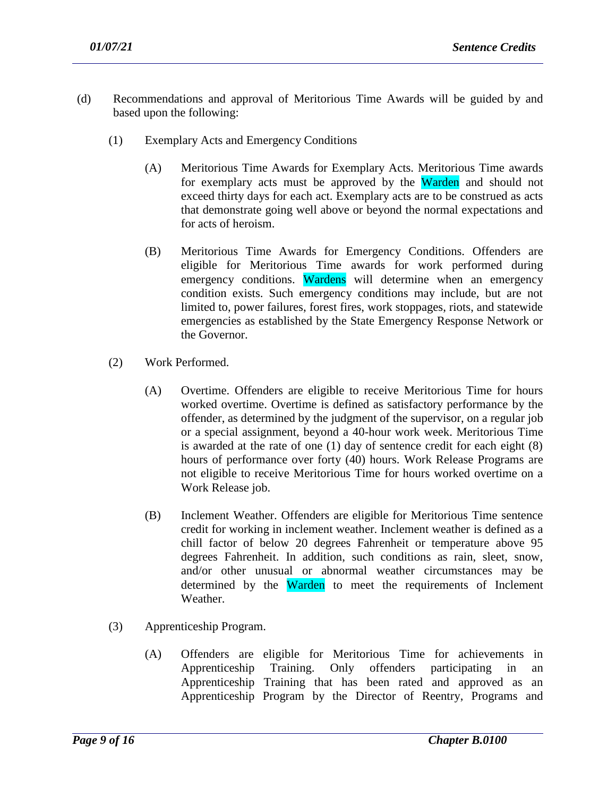- (d) Recommendations and approval of Meritorious Time Awards will be guided by and based upon the following:
	- (1) Exemplary Acts and Emergency Conditions
		- (A) Meritorious Time Awards for Exemplary Acts. Meritorious Time awards for exemplary acts must be approved by the Warden and should not exceed thirty days for each act. Exemplary acts are to be construed as acts that demonstrate going well above or beyond the normal expectations and for acts of heroism.
		- (B) Meritorious Time Awards for Emergency Conditions. Offenders are eligible for Meritorious Time awards for work performed during emergency conditions. Wardens will determine when an emergency condition exists. Such emergency conditions may include, but are not limited to, power failures, forest fires, work stoppages, riots, and statewide emergencies as established by the State Emergency Response Network or the Governor.
	- (2) Work Performed.
		- (A) Overtime. Offenders are eligible to receive Meritorious Time for hours worked overtime. Overtime is defined as satisfactory performance by the offender, as determined by the judgment of the supervisor, on a regular job or a special assignment, beyond a 40-hour work week. Meritorious Time is awarded at the rate of one (1) day of sentence credit for each eight (8) hours of performance over forty (40) hours. Work Release Programs are not eligible to receive Meritorious Time for hours worked overtime on a Work Release job.
		- (B) Inclement Weather. Offenders are eligible for Meritorious Time sentence credit for working in inclement weather. Inclement weather is defined as a chill factor of below 20 degrees Fahrenheit or temperature above 95 degrees Fahrenheit. In addition, such conditions as rain, sleet, snow, and/or other unusual or abnormal weather circumstances may be determined by the Warden to meet the requirements of Inclement Weather.
	- (3) Apprenticeship Program.
		- (A) Offenders are eligible for Meritorious Time for achievements in Apprenticeship Training. Only offenders participating in an Apprenticeship Training that has been rated and approved as an Apprenticeship Program by the Director of Reentry, Programs and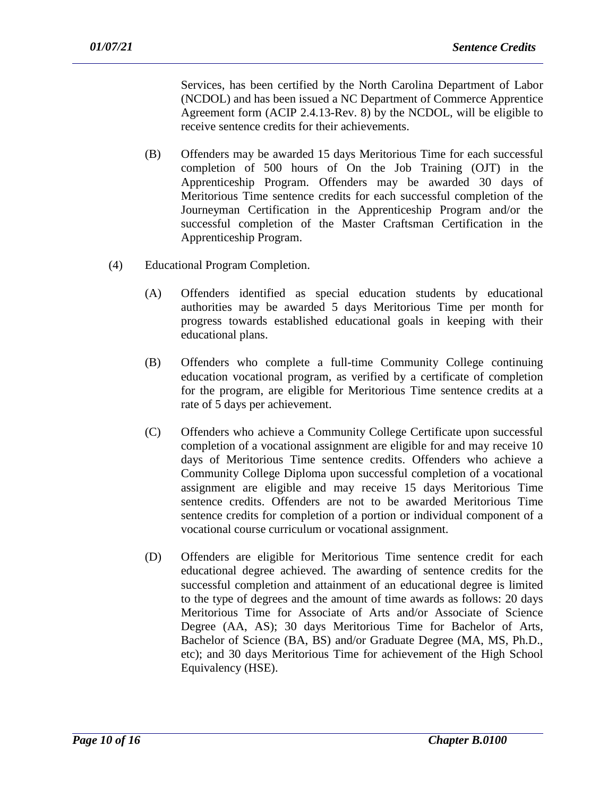Services, has been certified by the North Carolina Department of Labor (NCDOL) and has been issued a NC Department of Commerce Apprentice Agreement form (ACIP 2.4.13-Rev. 8) by the NCDOL, will be eligible to receive sentence credits for their achievements.

- (B) Offenders may be awarded 15 days Meritorious Time for each successful completion of 500 hours of On the Job Training (OJT) in the Apprenticeship Program. Offenders may be awarded 30 days of Meritorious Time sentence credits for each successful completion of the Journeyman Certification in the Apprenticeship Program and/or the successful completion of the Master Craftsman Certification in the Apprenticeship Program.
- (4) Educational Program Completion.
	- (A) Offenders identified as special education students by educational authorities may be awarded 5 days Meritorious Time per month for progress towards established educational goals in keeping with their educational plans.
	- (B) Offenders who complete a full-time Community College continuing education vocational program, as verified by a certificate of completion for the program, are eligible for Meritorious Time sentence credits at a rate of 5 days per achievement.
	- (C) Offenders who achieve a Community College Certificate upon successful completion of a vocational assignment are eligible for and may receive 10 days of Meritorious Time sentence credits. Offenders who achieve a Community College Diploma upon successful completion of a vocational assignment are eligible and may receive 15 days Meritorious Time sentence credits. Offenders are not to be awarded Meritorious Time sentence credits for completion of a portion or individual component of a vocational course curriculum or vocational assignment.
	- (D) Offenders are eligible for Meritorious Time sentence credit for each educational degree achieved. The awarding of sentence credits for the successful completion and attainment of an educational degree is limited to the type of degrees and the amount of time awards as follows: 20 days Meritorious Time for Associate of Arts and/or Associate of Science Degree (AA, AS); 30 days Meritorious Time for Bachelor of Arts, Bachelor of Science (BA, BS) and/or Graduate Degree (MA, MS, Ph.D., etc); and 30 days Meritorious Time for achievement of the High School Equivalency (HSE).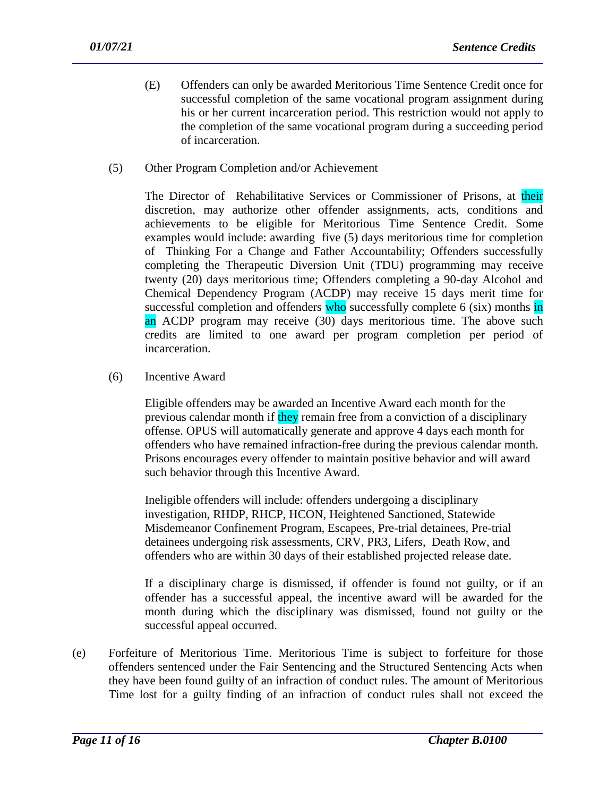- (E) Offenders can only be awarded Meritorious Time Sentence Credit once for successful completion of the same vocational program assignment during his or her current incarceration period. This restriction would not apply to the completion of the same vocational program during a succeeding period of incarceration.
- (5) Other Program Completion and/or Achievement

The Director of Rehabilitative Services or Commissioner of Prisons, at their discretion, may authorize other offender assignments, acts, conditions and achievements to be eligible for Meritorious Time Sentence Credit. Some examples would include: awarding five (5) days meritorious time for completion of Thinking For a Change and Father Accountability; Offenders successfully completing the Therapeutic Diversion Unit (TDU) programming may receive twenty (20) days meritorious time; Offenders completing a 90-day Alcohol and Chemical Dependency Program (ACDP) may receive 15 days merit time for successful completion and offenders who successfully complete 6 (six) months in an ACDP program may receive (30) days meritorious time. The above such credits are limited to one award per program completion per period of incarceration.

(6) Incentive Award

Eligible offenders may be awarded an Incentive Award each month for the previous calendar month if they remain free from a conviction of a disciplinary offense. OPUS will automatically generate and approve 4 days each month for offenders who have remained infraction-free during the previous calendar month. Prisons encourages every offender to maintain positive behavior and will award such behavior through this Incentive Award.

Ineligible offenders will include: offenders undergoing a disciplinary investigation, RHDP, RHCP, HCON, Heightened Sanctioned, Statewide Misdemeanor Confinement Program, Escapees, Pre-trial detainees, Pre-trial detainees undergoing risk assessments, CRV, PR3, Lifers, Death Row, and offenders who are within 30 days of their established projected release date.

If a disciplinary charge is dismissed, if offender is found not guilty, or if an offender has a successful appeal, the incentive award will be awarded for the month during which the disciplinary was dismissed, found not guilty or the successful appeal occurred.

(e) Forfeiture of Meritorious Time. Meritorious Time is subject to forfeiture for those offenders sentenced under the Fair Sentencing and the Structured Sentencing Acts when they have been found guilty of an infraction of conduct rules. The amount of Meritorious Time lost for a guilty finding of an infraction of conduct rules shall not exceed the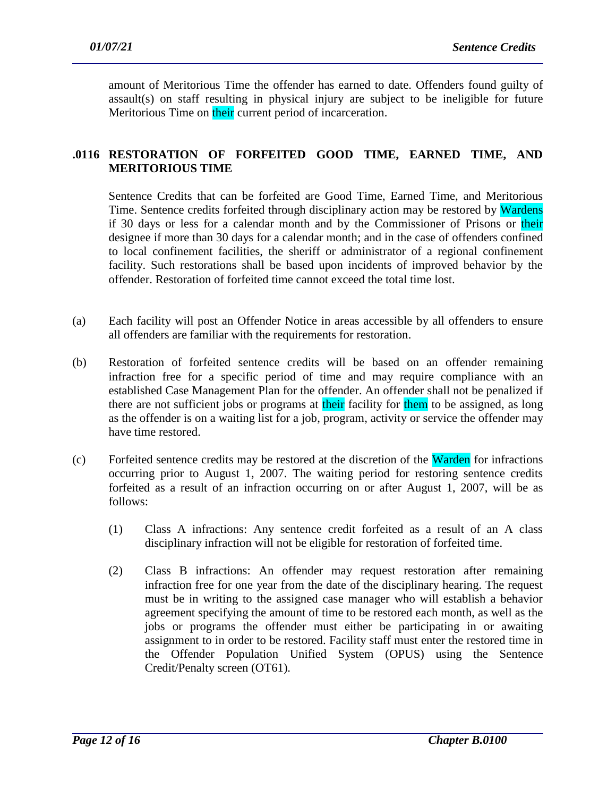amount of Meritorious Time the offender has earned to date. Offenders found guilty of assault(s) on staff resulting in physical injury are subject to be ineligible for future Meritorious Time on their current period of incarceration.

## **.0116 RESTORATION OF FORFEITED GOOD TIME, EARNED TIME, AND MERITORIOUS TIME**

Sentence Credits that can be forfeited are Good Time, Earned Time, and Meritorious Time. Sentence credits forfeited through disciplinary action may be restored by Wardens if 30 days or less for a calendar month and by the Commissioner of Prisons or their designee if more than 30 days for a calendar month; and in the case of offenders confined to local confinement facilities, the sheriff or administrator of a regional confinement facility. Such restorations shall be based upon incidents of improved behavior by the offender. Restoration of forfeited time cannot exceed the total time lost.

- (a) Each facility will post an Offender Notice in areas accessible by all offenders to ensure all offenders are familiar with the requirements for restoration.
- (b) Restoration of forfeited sentence credits will be based on an offender remaining infraction free for a specific period of time and may require compliance with an established Case Management Plan for the offender. An offender shall not be penalized if there are not sufficient jobs or programs at their facility for them to be assigned, as long as the offender is on a waiting list for a job, program, activity or service the offender may have time restored.
- (c) Forfeited sentence credits may be restored at the discretion of the Warden for infractions occurring prior to August 1, 2007. The waiting period for restoring sentence credits forfeited as a result of an infraction occurring on or after August 1, 2007, will be as follows:
	- (1) Class A infractions: Any sentence credit forfeited as a result of an A class disciplinary infraction will not be eligible for restoration of forfeited time.
	- (2) Class B infractions: An offender may request restoration after remaining infraction free for one year from the date of the disciplinary hearing. The request must be in writing to the assigned case manager who will establish a behavior agreement specifying the amount of time to be restored each month, as well as the jobs or programs the offender must either be participating in or awaiting assignment to in order to be restored. Facility staff must enter the restored time in the Offender Population Unified System (OPUS) using the Sentence Credit/Penalty screen (OT61).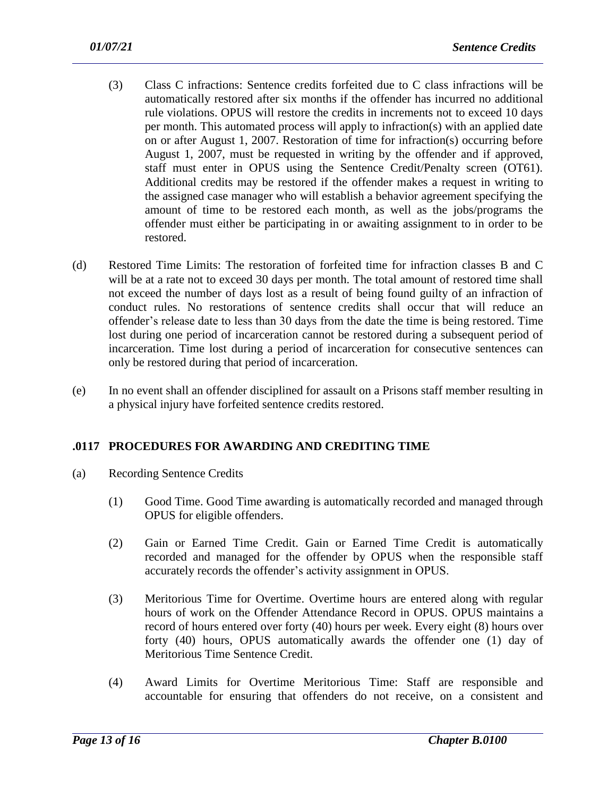- (3) Class C infractions: Sentence credits forfeited due to C class infractions will be automatically restored after six months if the offender has incurred no additional rule violations. OPUS will restore the credits in increments not to exceed 10 days per month. This automated process will apply to infraction(s) with an applied date on or after August 1, 2007. Restoration of time for infraction(s) occurring before August 1, 2007, must be requested in writing by the offender and if approved, staff must enter in OPUS using the Sentence Credit/Penalty screen (OT61). Additional credits may be restored if the offender makes a request in writing to the assigned case manager who will establish a behavior agreement specifying the amount of time to be restored each month, as well as the jobs/programs the offender must either be participating in or awaiting assignment to in order to be restored.
- (d) Restored Time Limits: The restoration of forfeited time for infraction classes B and C will be at a rate not to exceed 30 days per month. The total amount of restored time shall not exceed the number of days lost as a result of being found guilty of an infraction of conduct rules. No restorations of sentence credits shall occur that will reduce an offender's release date to less than 30 days from the date the time is being restored. Time lost during one period of incarceration cannot be restored during a subsequent period of incarceration. Time lost during a period of incarceration for consecutive sentences can only be restored during that period of incarceration.
- (e) In no event shall an offender disciplined for assault on a Prisons staff member resulting in a physical injury have forfeited sentence credits restored.

## **.0117 PROCEDURES FOR AWARDING AND CREDITING TIME**

- (a) Recording Sentence Credits
	- (1) Good Time. Good Time awarding is automatically recorded and managed through OPUS for eligible offenders.
	- (2) Gain or Earned Time Credit. Gain or Earned Time Credit is automatically recorded and managed for the offender by OPUS when the responsible staff accurately records the offender's activity assignment in OPUS.
	- (3) Meritorious Time for Overtime. Overtime hours are entered along with regular hours of work on the Offender Attendance Record in OPUS. OPUS maintains a record of hours entered over forty (40) hours per week. Every eight (8) hours over forty (40) hours, OPUS automatically awards the offender one (1) day of Meritorious Time Sentence Credit.
	- (4) Award Limits for Overtime Meritorious Time: Staff are responsible and accountable for ensuring that offenders do not receive, on a consistent and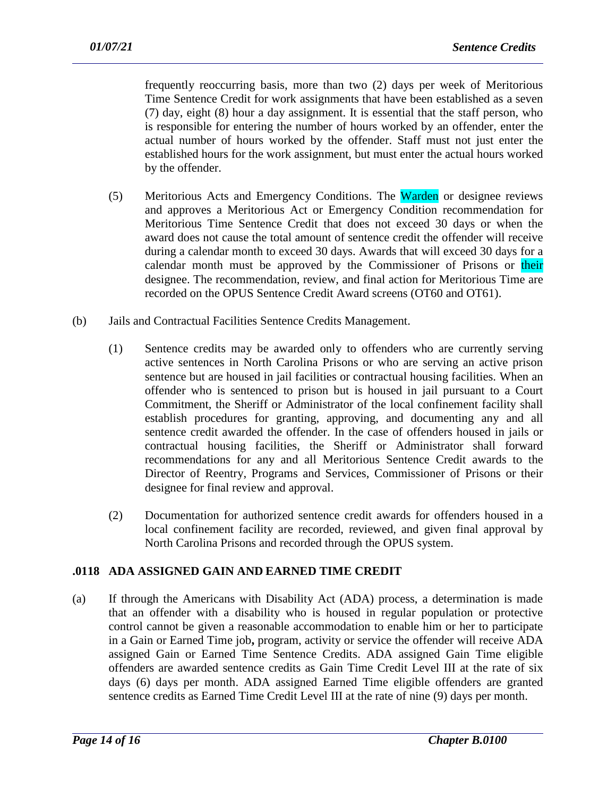frequently reoccurring basis, more than two (2) days per week of Meritorious Time Sentence Credit for work assignments that have been established as a seven (7) day, eight (8) hour a day assignment. It is essential that the staff person, who is responsible for entering the number of hours worked by an offender, enter the actual number of hours worked by the offender. Staff must not just enter the established hours for the work assignment, but must enter the actual hours worked by the offender.

- (5) Meritorious Acts and Emergency Conditions. The Warden or designee reviews and approves a Meritorious Act or Emergency Condition recommendation for Meritorious Time Sentence Credit that does not exceed 30 days or when the award does not cause the total amount of sentence credit the offender will receive during a calendar month to exceed 30 days. Awards that will exceed 30 days for a calendar month must be approved by the Commissioner of Prisons or their designee. The recommendation, review, and final action for Meritorious Time are recorded on the OPUS Sentence Credit Award screens (OT60 and OT61).
- (b) Jails and Contractual Facilities Sentence Credits Management.
	- (1) Sentence credits may be awarded only to offenders who are currently serving active sentences in North Carolina Prisons or who are serving an active prison sentence but are housed in jail facilities or contractual housing facilities. When an offender who is sentenced to prison but is housed in jail pursuant to a Court Commitment, the Sheriff or Administrator of the local confinement facility shall establish procedures for granting, approving, and documenting any and all sentence credit awarded the offender. In the case of offenders housed in jails or contractual housing facilities, the Sheriff or Administrator shall forward recommendations for any and all Meritorious Sentence Credit awards to the Director of Reentry, Programs and Services, Commissioner of Prisons or their designee for final review and approval.
	- (2) Documentation for authorized sentence credit awards for offenders housed in a local confinement facility are recorded, reviewed, and given final approval by North Carolina Prisons and recorded through the OPUS system.

### **.0118 ADA ASSIGNED GAIN AND EARNED TIME CREDIT**

(a) If through the Americans with Disability Act (ADA) process, a determination is made that an offender with a disability who is housed in regular population or protective control cannot be given a reasonable accommodation to enable him or her to participate in a Gain or Earned Time job**,** program, activity or service the offender will receive ADA assigned Gain or Earned Time Sentence Credits. ADA assigned Gain Time eligible offenders are awarded sentence credits as Gain Time Credit Level III at the rate of six days (6) days per month. ADA assigned Earned Time eligible offenders are granted sentence credits as Earned Time Credit Level III at the rate of nine (9) days per month.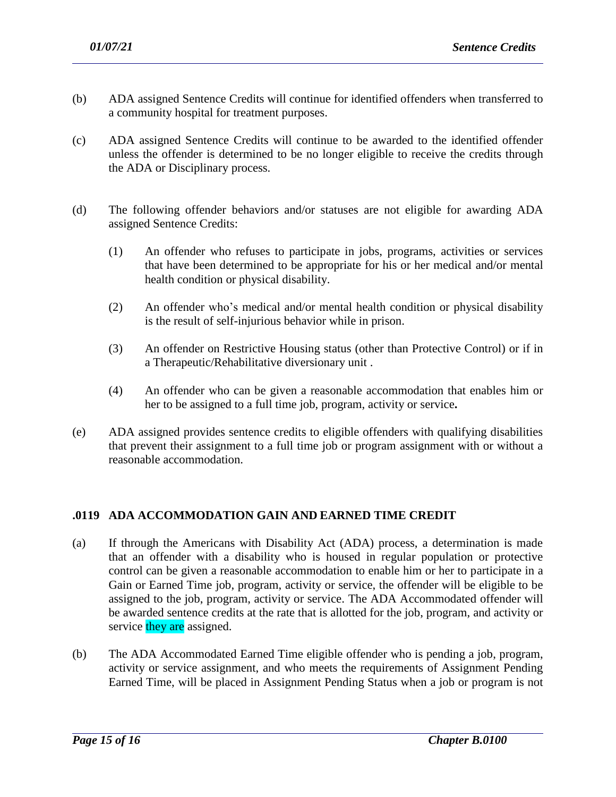- (b) ADA assigned Sentence Credits will continue for identified offenders when transferred to a community hospital for treatment purposes.
- (c) ADA assigned Sentence Credits will continue to be awarded to the identified offender unless the offender is determined to be no longer eligible to receive the credits through the ADA or Disciplinary process.
- (d) The following offender behaviors and/or statuses are not eligible for awarding ADA assigned Sentence Credits:
	- (1) An offender who refuses to participate in jobs, programs, activities or services that have been determined to be appropriate for his or her medical and/or mental health condition or physical disability.
	- (2) An offender who's medical and/or mental health condition or physical disability is the result of self-injurious behavior while in prison.
	- (3) An offender on Restrictive Housing status (other than Protective Control) or if in a Therapeutic/Rehabilitative diversionary unit .
	- (4) An offender who can be given a reasonable accommodation that enables him or her to be assigned to a full time job, program, activity or service**.**
- (e) ADA assigned provides sentence credits to eligible offenders with qualifying disabilities that prevent their assignment to a full time job or program assignment with or without a reasonable accommodation.

### **.0119 ADA ACCOMMODATION GAIN AND EARNED TIME CREDIT**

- (a) If through the Americans with Disability Act (ADA) process, a determination is made that an offender with a disability who is housed in regular population or protective control can be given a reasonable accommodation to enable him or her to participate in a Gain or Earned Time job, program, activity or service, the offender will be eligible to be assigned to the job, program, activity or service. The ADA Accommodated offender will be awarded sentence credits at the rate that is allotted for the job, program, and activity or service they are assigned.
- (b) The ADA Accommodated Earned Time eligible offender who is pending a job, program, activity or service assignment, and who meets the requirements of Assignment Pending Earned Time, will be placed in Assignment Pending Status when a job or program is not